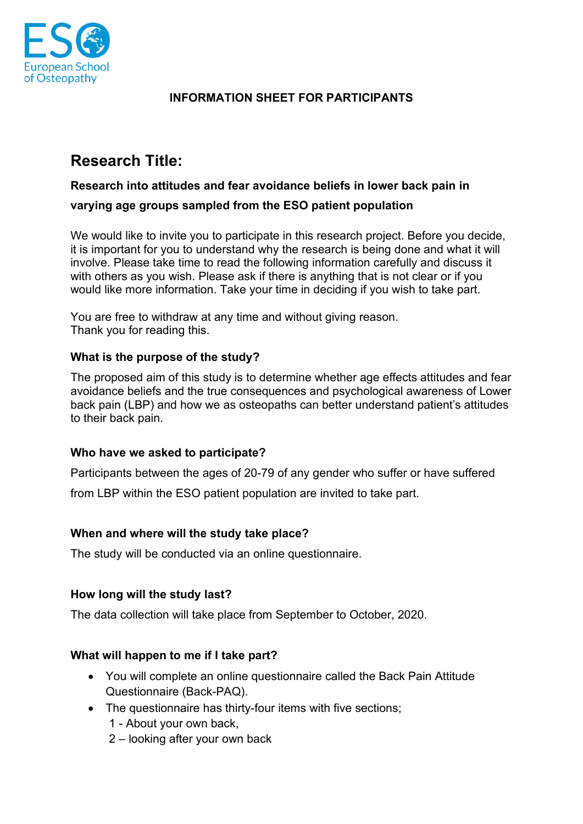

# **INFORMATION SHEET FOR PARTICIPANTS**

# **Research Title:**

## **Research into attitudes and fear avoidance beliefs in lower back pain in**

#### **varying age groups sampled from the ESO patient population**

We would like to invite you to participate in this research project. Before you decide, it is important for you to understand why the research is being done and what it will involve. Please take time to read the following information carefully and discuss it with others as you wish. Please ask if there is anything that is not clear or if you would like more information. Take your time in deciding if you wish to take part.

You are free to withdraw at any time and without giving reason. Thank you for reading this.

#### **What is the purpose of the study?**

The proposed aim of this study is to determine whether age effects attitudes and fear avoidance beliefs and the true consequences and psychological awareness of Lower back pain (LBP) and how we as osteopaths can better understand patient's attitudes to their back pain.

#### **Who have we asked to participate?**

Participants between the ages of 20-79 of any gender who suffer or have suffered

from LBP within the ESO patient population are invited to take part.

#### **When and where will the study take place?**

The study will be conducted via an online questionnaire.

## **How long will the study last?**

The data collection will take place from September to October, 2020.

## **What will happen to me if I take part?**

- You will complete an online questionnaire called the Back Pain Attitude Questionnaire (Back-PAQ).
- The questionnaire has thirty-four items with five sections;
	- 1 About your own back,
	- 2 looking after your own back